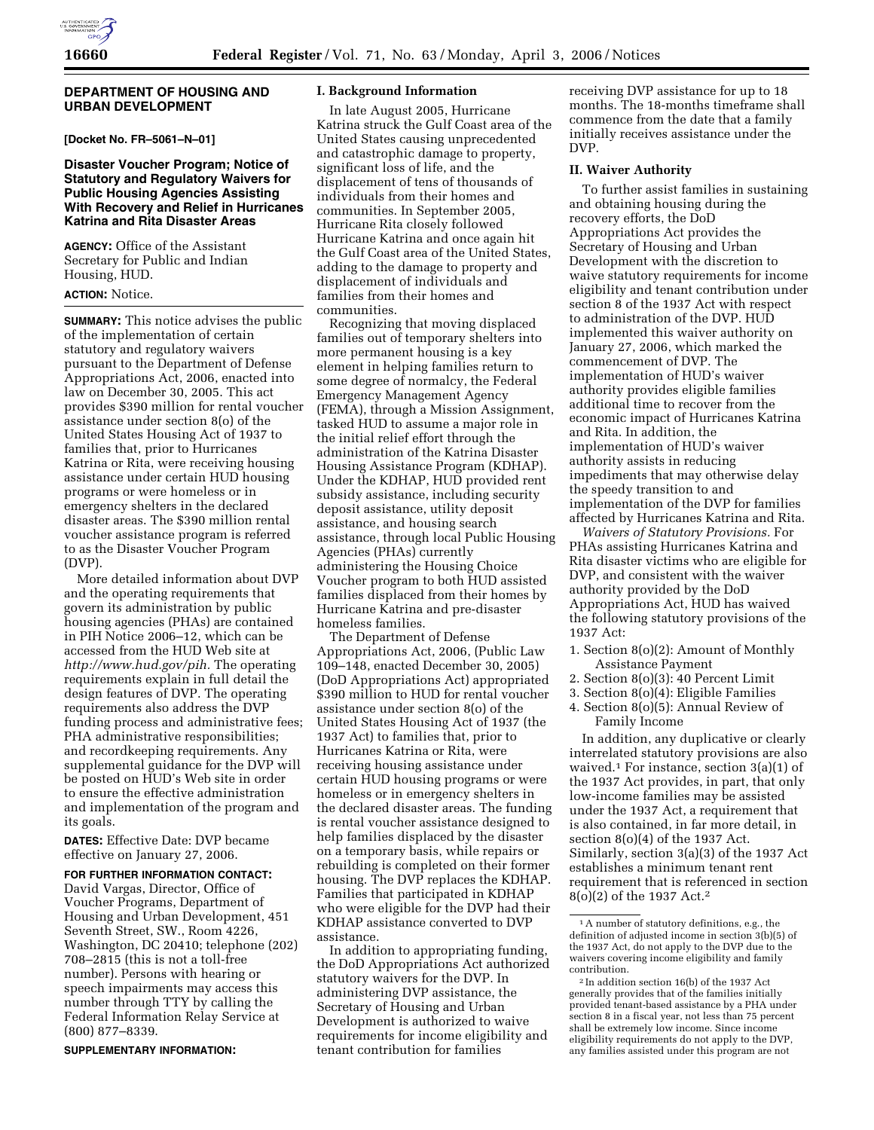# **DEPARTMENT OF HOUSING AND URBAN DEVELOPMENT**

**[Docket No. FR–5061–N–01]** 

# **Disaster Voucher Program; Notice of Statutory and Regulatory Waivers for Public Housing Agencies Assisting With Recovery and Relief in Hurricanes Katrina and Rita Disaster Areas**

**AGENCY:** Office of the Assistant Secretary for Public and Indian Housing, HUD.

# **ACTION:** Notice.

**SUMMARY:** This notice advises the public of the implementation of certain statutory and regulatory waivers pursuant to the Department of Defense Appropriations Act, 2006, enacted into law on December 30, 2005. This act provides \$390 million for rental voucher assistance under section 8(o) of the United States Housing Act of 1937 to families that, prior to Hurricanes Katrina or Rita, were receiving housing assistance under certain HUD housing programs or were homeless or in emergency shelters in the declared disaster areas. The \$390 million rental voucher assistance program is referred to as the Disaster Voucher Program (DVP).

More detailed information about DVP and the operating requirements that govern its administration by public housing agencies (PHAs) are contained in PIH Notice 2006–12, which can be accessed from the HUD Web site at *http://www.hud.gov/pih.* The operating requirements explain in full detail the design features of DVP. The operating requirements also address the DVP funding process and administrative fees; PHA administrative responsibilities; and recordkeeping requirements. Any supplemental guidance for the DVP will be posted on HUD's Web site in order to ensure the effective administration and implementation of the program and its goals.

**DATES:** Effective Date: DVP became effective on January 27, 2006.

#### **FOR FURTHER INFORMATION CONTACT:**

David Vargas, Director, Office of Voucher Programs, Department of Housing and Urban Development, 451 Seventh Street, SW., Room 4226, Washington, DC 20410; telephone (202) 708–2815 (this is not a toll-free number). Persons with hearing or speech impairments may access this number through TTY by calling the Federal Information Relay Service at (800) 877–8339.

**SUPPLEMENTARY INFORMATION:** 

### **I. Background Information**

In late August 2005, Hurricane Katrina struck the Gulf Coast area of the United States causing unprecedented and catastrophic damage to property, significant loss of life, and the displacement of tens of thousands of individuals from their homes and communities. In September 2005, Hurricane Rita closely followed Hurricane Katrina and once again hit the Gulf Coast area of the United States, adding to the damage to property and displacement of individuals and families from their homes and communities.

Recognizing that moving displaced families out of temporary shelters into more permanent housing is a key element in helping families return to some degree of normalcy, the Federal Emergency Management Agency (FEMA), through a Mission Assignment, tasked HUD to assume a major role in the initial relief effort through the administration of the Katrina Disaster Housing Assistance Program (KDHAP). Under the KDHAP, HUD provided rent subsidy assistance, including security deposit assistance, utility deposit assistance, and housing search assistance, through local Public Housing Agencies (PHAs) currently administering the Housing Choice Voucher program to both HUD assisted families displaced from their homes by Hurricane Katrina and pre-disaster homeless families.

The Department of Defense Appropriations Act, 2006, (Public Law 109–148, enacted December 30, 2005) (DoD Appropriations Act) appropriated \$390 million to HUD for rental voucher assistance under section 8(o) of the United States Housing Act of 1937 (the 1937 Act) to families that, prior to Hurricanes Katrina or Rita, were receiving housing assistance under certain HUD housing programs or were homeless or in emergency shelters in the declared disaster areas. The funding is rental voucher assistance designed to help families displaced by the disaster on a temporary basis, while repairs or rebuilding is completed on their former housing. The DVP replaces the KDHAP. Families that participated in KDHAP who were eligible for the DVP had their KDHAP assistance converted to DVP assistance.

In addition to appropriating funding, the DoD Appropriations Act authorized statutory waivers for the DVP. In administering DVP assistance, the Secretary of Housing and Urban Development is authorized to waive requirements for income eligibility and tenant contribution for families

receiving DVP assistance for up to 18 months. The 18-months timeframe shall commence from the date that a family initially receives assistance under the DVP.

#### **II. Waiver Authority**

To further assist families in sustaining and obtaining housing during the recovery efforts, the DoD Appropriations Act provides the Secretary of Housing and Urban Development with the discretion to waive statutory requirements for income eligibility and tenant contribution under section 8 of the 1937 Act with respect to administration of the DVP. HUD implemented this waiver authority on January 27, 2006, which marked the commencement of DVP. The implementation of HUD's waiver authority provides eligible families additional time to recover from the economic impact of Hurricanes Katrina and Rita. In addition, the implementation of HUD's waiver authority assists in reducing impediments that may otherwise delay the speedy transition to and implementation of the DVP for families affected by Hurricanes Katrina and Rita.

*Waivers of Statutory Provisions.* For PHAs assisting Hurricanes Katrina and Rita disaster victims who are eligible for DVP, and consistent with the waiver authority provided by the DoD Appropriations Act, HUD has waived the following statutory provisions of the 1937 Act:

- 1. Section 8(o)(2): Amount of Monthly Assistance Payment
- 2. Section 8(o)(3): 40 Percent Limit
- 3. Section 8(o)(4): Eligible Families
- 4. Section 8(o)(5): Annual Review of Family Income

In addition, any duplicative or clearly interrelated statutory provisions are also waived.<sup>1</sup> For instance, section  $3(a)(1)$  of the 1937 Act provides, in part, that only low-income families may be assisted under the 1937 Act, a requirement that is also contained, in far more detail, in section 8(o)(4) of the 1937 Act. Similarly, section 3(a)(3) of the 1937 Act establishes a minimum tenant rent requirement that is referenced in section 8(o)(2) of the 1937 Act.2

 $\overline{{}^1\mathrm{A}}$  number of statutory definitions, e.g., the definition of adjusted income in section 3(b)(5) of the 1937 Act, do not apply to the DVP due to the waivers covering income eligibility and family contribution.

<sup>2</sup> In addition section 16(b) of the 1937 Act generally provides that of the families initially provided tenant-based assistance by a PHA under section 8 in a fiscal year, not less than 75 percent shall be extremely low income. Since income eligibility requirements do not apply to the DVP, any families assisted under this program are not